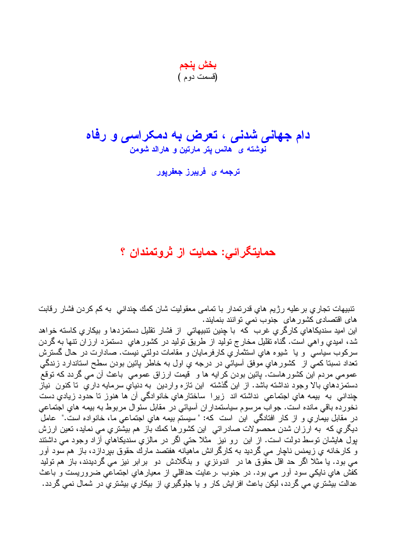بخش ينجم (قسمت دو م)

## دام جهان*ی* شدن*ی* ، تعرض به دمکر اسی و رفاه نوشته ی هانس پتر مارتین و هارالد شومن

ترج*مه ی* فریبرز جعفریور

## حمایتگرائی: حمایت از ثروتمندان ؟

تنبیهات تجاری بر علیه رژیم های قدرتمدار با تمامی معقولیت شان کمك چندانی به کم کردن فشار رقابت های اقتصادی کشورهای جنوب نمی توانند بنمایند.

این امید سندیکاهای کارگری غرب که با چنین تنبیهاتی از فشار تقلیل دستمزدها و بیکاری کاسته خواهد شد، اميدي واهي است. گناه نقليل مخارج نوليد از طريق نوليد در كشورهاي دستمزد ارزان نتها به گردن سرکوب سیاسی و یا شیوه های استثماری کارفرمایان و مقامات دولتی نیست. صادارت در حال گسترش تعداد نسبتا کمي از کشور هاي موفق آسيائي در درجه ي اول به خاطر پائين بودن سطح استاندارد زندگي عمومی مردم این کشورهاست. پائین بودن کرایه ها و قیمت ارزاق عمومی باعث أن می گردد که نوقع دستمزدهایِ بالا وجود نداشته باشد. از این گذشته ً این تازه واردین ً به دنیایِ سرمایه داریِ ً تا کنون ً نیاز چندانی به بیمه هایِ اجتماعی نداشته اند زیرا ساختارهایِ خانوادگی آن ها هنوز تا حدود زیادیِ دست نخورده باقي مانده است. جواب مرسوم سياستمداران أسيائي در مقابل سئوال مربوط به بيمه هاي اجتماعي در مقابل بیماری و از کار افتادگی این است که: " سیستم بیمه های اجتماعی ما، خانواده است." عامل ديگري كه به ارزان شدن محصولات صادراتي اين كشورها كمك باز هم بيشتري مي نمايد، تعين ارزش بول هایشان نوسط دولت است. از این رو نیز مثلاً حتبی اگر در مالزی سندیکاهای آزاد وجود می داشتند و کارخانه یِ زیمنس ناچار می گردید به کارگرانش ماهیانه هفتصد مارك حقوق بیردازد، باز هم سود آور می بود. یا مثلا اگر حد اقل حقّوق ها در ِ اندونزی و بنگلادش دو بر ابر نیز می گردیدند، باز هم تولید کفش هایِ ناپکی سود آور می بود. در جنوب .رعایت حداقلی از معیارهایِ اجتماعی ضروریست و باعث عدالت بیشتر ی می گردد، لیکن باعث افز ایش کار و یا جلوگیر ی از بیکار ی بیشتر ی در شمال نمی گردد.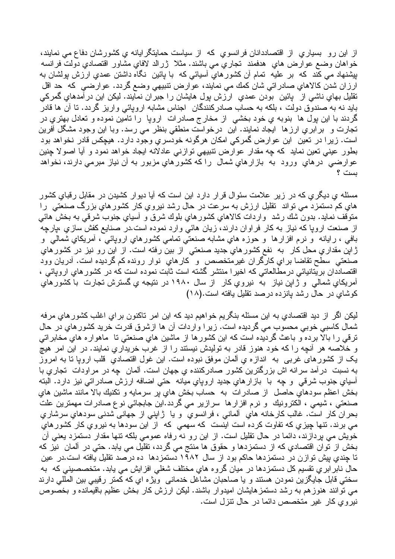از این رو بسیاری از اقتصاددانان فرانسوی که از سیاست حمایتگر ایانه ی کشورشان دفاع می نمایند، خواهان وضع عوارض هاي هدفمند تجاري مي باشند. مثلا ژرالد لافاي مشاور اقتصادي دولت فرانسه بیِشنهاد می کند که بر علیه تمام أن کشورهایِ أسیائی که با پائین نگاه داشتن عمدیِ ارزش پولشان به ارزان شدن كالاهاي صادراتي شان كمك مي نمايند، عوارض نتبيهي وضع گردد. عوارضي كه حد اقل نقلیل بھای ناشی از پائین بودن عمدیِ ارزش پول ہایشان را جبران نمایند. لیکن این درآمدہایِ گمرکی باید نه به صندوق دولت ، بلکه به حساب صادرکنندگان اجناس مشابه اروپائی واریز گردد. تا آن ها قادر گردند با این بول ها بنوبه ی خود بخشی از مخارج صادرات اروپا را تامین نموده و تعادل بهتری در نجارت و برابري ارزها ايجاد نمايند. اين درخواست منطقى بنظر مى رسد. وبا اين وجود مشكّل أفرين است. زيرا در نعين اين عوارض گمركي امكان هرگونه خودسري وجود دارد. هيچكس قادر نخواهد بود بطور عینی نعین نماید که چه مقدار عوارض نتبیهی نوازنی عادلانه ایجاد خواهد نمود و آیا اصولا چنین عوارضی درهاي ورود به بازارهاي شمال را كه كشورهاي مزبور به أن نياز مبرمی دارند، نخواهد ىست ؟

مسئله ی دیگری که در زیر علامت سئوال قرار دارد این است که آیا دیوار کشیدن در مقابل رقبای کشور های کم دستمزد می تواند تقلیل ارزش به سرعت در حال رشد نیروی کار کشور های بزرگ صنعتی را متوقف نمايد. بدون شك رشد ۖ واردات كالاهاي كشورهاي بلوك شرق و أسياي جنوب شرقي به بخش هائـي از صنعت اروپا که نیاز به کار فراوان دارند، زیان هائی وارد نموده است.در صنایع کفش سازیِ ،پارچه بافي ، رايانه ً و نرم افزارها ً و حوزه هاي مشابه صنعتي نمامي كشورهاي اروپائي َ، أمريكاي شمالي ً و ژاپن مقدا*ري م*حل کار به نفع کشورها*ي جديد ص*نعتي از بين رفته است. از اين رو نيز در کشورها*ي* صنعتي سطح نقاضا براي كارگران غيرمتخصص و كارهاي نوار رونده كم گرديده است. أدريان وود اقتصاددان بریتانیائی درمطالعاتی که اخیرا منتشر گشته است ثابت نموده است که در کشورهای اروپائی ، آمریکای شمالی و ژاین نیاز به نیروی کار از سال ۱۹۸۰ در نتیجه ی گسترش تجارت با کشورهای کوشای در حال رشد بانزده درصد نقلیل بافته است.(۱۸)

ليکن اگر از ديد اقتصادي به اين مسئله بنگريم خواهيم ديد که اين امر تاکنون براي اغلب کشورهاي مرفه شمال كاسبي خوبي محسوب مي گرديده است. زيرا واردات آن ها ازشرق قدرت خريد كشورهاي در حال ترقى را بالًا برده ّو باعث گرديده است كه اين كشورها از ماشين هاي صنعتي تا ماهواره هاي مخابراتي و خلاصه هر أنچه را كه خود هنوز قادر به تولیدش نیستند را از غرب خریداریِ نمایند. در این امر هیچ يک از کشورهاي غربي به اندازه ي ألمان موفق نبوده است. اين غول اقتصادي قلب ارويا نا به امروز به نسبت در آمد سرانه اش بزرگترین کشور صادرکننده یِ جهان است. آلمان چه در مراودات تجاریِ با آسیای جنوب شرقی و چه با باز ار های جدید اروپای میانه حتی اضافه ارزش صادراتی نیز دارد. البته بخش اعظم سودهاي حاصل از صادرات به حساب بخش هاي پر سرمايه و تكنيك بالا مانند ماشين هاي صنعتي ، شيمي ، الكترونيك و نرم افزارها سرازير مي گردد.اين جابجائي نو ع صادرات مهمترين علتٌ بحران كار است. غالب كارخانه هاي الماني ، فرانسوي و يا ژاپني از جهاني شدني سودهاي سرشاري می برند. نتها چیزی که نفاوت کرده است اینست که سهمی که از این سودها به نیروی کار کشورهای خوَّيش مى بردازند، دائما در حال نقلبل است. از اين رو نه رفاه عمومى بلكه نتها مقدار دستمزد بعنى أنَّ بخش از نوان اقتصادي كه از دستمزدها و حقوق ها منتج مي گردد، تقليل مي يابد. حتى در ألمان نيز كه تا چندی بیش توازن در دستمزدها حاکم بود از سال ۱۹۸۲ دستمزدها ده درصد تقلیل یافته است.در عین حال نابر ابر ي نقسيم كل دستمزدها در ميان گروه هاي مختلف شغلي افزايش مي يابد. متخصصيني كه به سختی قابل جایگزین نمودن هستند و یا صاحبان مشاغل خدمانی ویژه ای که کمتر رقیبی بین المللی دارند می نوانند هنوزهم به رشد دستمزهایشان امیدوار باشند. لیکن ارزش کار بخش عظیم باقیمانده و بخصوص نیروی کار غیر متخصص دائما در حال نتزل است.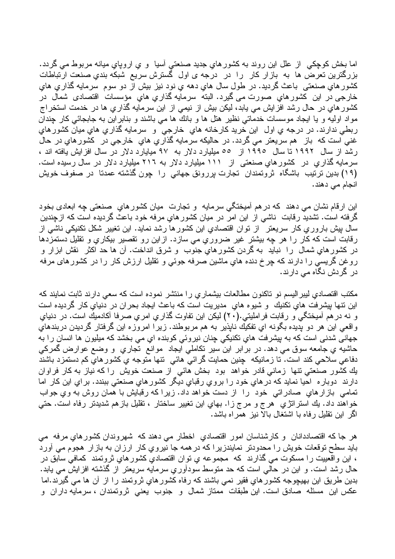اما بخش کوچکی از علل این روند به کشورهای جدید صنعتی آسیا و ی اروپای میانه مربوط می گردد. بزرگترین تعرض ها به بازار کار را در درجه ی اول گسترش سریع شبکه بندیِ صنعت ارتباطات كشورهاي صنعتي باعث گرديد. در طول سال هاي دهه ي نود نيز بيش از دو سوم سرمايه گذاري هاي خارجي در اين كشورهاي صورت مي گيرد. البته سرمايه گذاري هاي مؤسسات اقتصادي شمال در کشور های در حال رشد افزایش می یابد، لیکن بیش از نیمی از این سرمایه گذاری ها در خدمت استخراج مواد اولیه و یا ایجاد موسسات خدماتی نظیر هتل ها و بانك ها می باشند و بنابراین به جابجائی كار جندان ربطي ندارند. در درجه ي اول اين خريد كارخانه هاي خارجي و سرمايه گذاري هاي ميان كشور هاي غنبی است که باز هم سریعتر می گردد. در حالیکه سرمایه گذاری های خارجی در کشور های در حال رشد از سال ۱۹۹۲ تا سال ۱۹۹۰ از ٥٥ میلیارد دلار به ۹۷ میایارد دلار در سال افزایش یافته اند ، سرمایه گذاریِ در کشورهایِ صنعتی از ۱۱۱ میلیارد دلار به ۲۱۲ میلیارد دلار در سال رسیده است. (١٩) بدین ترتیب باشگاه ثروتمندان تجارت بررونق جهانی را چون گذشته عمدتا در صفوف خویش انجام م*ی* دهند.

اين ارقام نشان مي دهند كه درهم أميختگي سرمايه و تجارت ميان كشورهاي صنعتي چه ابعادي بخود گرفته است. نشدید رقابت ناشی از این امر در میان کشورهایِ مرفه خود باعث گردیده است که ازچندین سال بیش باروری کار سریعتر از نوان اقتصادی این کشورها رشد نماید. این نغییر شکل نکنیکی ناشی از رقابت است که کار را هر چه بیشتر غیر ضروری می سازد. ازاین رو تقصیر بیکاری و تقلیل دستمزدها در کشورهایِ شمال را نباید به گردن کشورهایِ جنوب و شرق انداخت. آن ها حد اکثر نقش ابزار و روغن گریسی را دارند که چرخ دنده هایِ ماشین صرفه جوئی و نقلیل ارزش کار را در کشورهای مرفه در گر دش نگاه مے دار ند۔

مکتب اقتصادی لیبر الیسم نو تاکنون مطالعات بیشماری را منتشر نموده است که سعی دارند ثابت نمایند که اين نتها پيشرفت هاي نکنيك و شيوه هاي مديريت است كه باعث ايجاد بحران در دنياي كار گرديده است و نه در هم آمیختگی و رقابت فراملیتی.(۲۰) لیکن این تفاوت گذاری امری صرفا آکادمیك است. در دنیای واقعي اين هر دو بديده بگونه اي تفكيك ناپذير به هم مربوطند. زيرا امروزه اين گرفتار گرديدن دربندهاي جهانی شدنی است که به پیشرفت هاي نکنيکي چنان نيروئي کوبنده اي مي بخشد که ميليون ها انسان را به حاشیه ي جامعه سوق مي دهد. در بر ابر اين سير نكاملي ايجاد موانع تجاري و وضع عوارض گمركي دفاعي سلاحي كند است. تا زمانيكه چنين حمايت گرائي هائي نتها متوجه ي كشور هاي كم دستمزد باشند یك كشور صنعتی نتها زمانی قادر خواهد بود بخش هائی از صنعت خویش را كه نیاز به كار فراوان دارند دوبار ه احيا نمايد كه در هاي خود را بروي رقباي ديگر كشور هاي صنعتي ببندد. براي اين كار اما تمامی بازارهایِ صادراتی خود را از دست خواهد داد. زیرا که رقبایش با همان روش به ویِ جواب خواهند داد. يك استراتژي هرج و مرج زا. بهاي اين تغيير ساختار ، تقليل بازهم شديدتر رفاه است. حتى اگر این نقلیل رفاه با اشتغال بالا نیز همراه باشد.

هر جا كه اقتصاددانان و كارشناسان امور اقتصادي اخطار مى دهند كه شهروندان كشورهاي مرفه مى باید سطح نوقعات خویش را محدودنر نمایندزیرا که در همه جا نیروی کار ارزان به بازار هجوم می آورد ، اين واقعييت را مسكوت مي گذارند كه ًمجموعه ي نوان اقتصادي كشورهاي ثروتمند كمافي سابق در حال رشد است. و این در حالی است که حد متوسط سودآوریِ سرمایه سریعتر از گذشته افزایش می یابد. بدین طریق این بھیچوجه کشورهایِ فقیر نمی باشند که رفاه کشورهایِ ثروتمند را از آن ها می گیرند.اما عکس این مسئله صادق است. این طبقات ممتاز شمال و جنوب یعنی ثروتمندان ، سرمایه داران و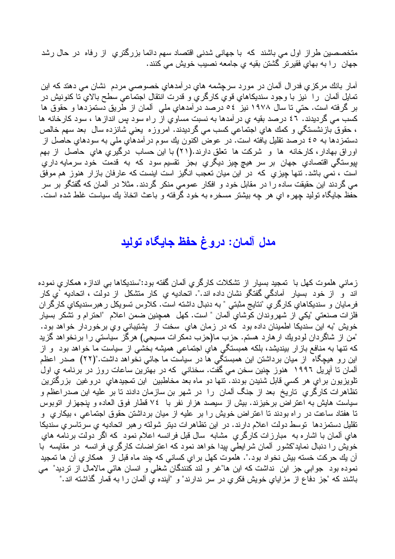متخصصین طراز اول می باشند که با جهانی شدنی اقتصاد سهم دائما بزرگتری از رفاه در حال رشد جهان را به بهاي فقيرتر گشتن بقيه ي جامعه نصيب خويش مي كنند.

آمار بانك مركزي فدرال ألمان در مورد سرچشمه هاي درآمدهاي خصوصـي مردم نشان مي دهند كه اين تمايل آلمان را نيز با وجود سنديكاهاي قوي كارگري و قدرت انتقال اجتماعي سطح بالاي تا كنونيش در بر گرفته است. حتی تا سال ۱۹۷۸ نیز ٥٤ درصد درآمدهایِ ملی ِ آلمان از طریق دستمزدها و حقوق ها کسب می گردیدند. ٤٦ درصد بقیه ی در آمدها به نسبت مساوی از راه سود بس انداز ها ، سود کارخانه ها ، حقوق بازنشستگی و کمك هاي اجتماعی کسب می گرديدند. امروزه يعنی شانزده سال بعد سهم خالص دستمزدها به ٤٥ درصد نقلیل یافته است. در عوض اکنون یك سوم در آمدهای ملی به سودهای حاصل از اوراق بهادار، كارخانه ها و شركت ها تعلق دارند.(۲۱) با اين حساب درگيري هاي حاصل از بهم بپوستگی اقتصادی جهان بر سر هیچ چیز دیگری بجز تقسیم سود که به قدمت خود سرمایه داری است ، نمی باشد. تنها چیزی که در این میان تعجب انگیز است اینست که عارفان بازار هنوز هم موفق می گردند این حقیقت ساده را در مقابل خود و افکار عمومی منکر گردند. مثلا در آلمان که گفتگو بر سر حفظ جابگاه تولید چهره ای هر چه بیشتر مسخره به خود گرفته و باعث اتخاذ بك سیاست غلط شده است.

## مدل آلمان: دروغ حفظ جايگاه توليد

زمانی هلموت کهل با تمجید بسیار از نشکلات کارگری آلمان گفته بود:"سندیکاها بی اندازه همکاری نموده اند و از خود بسیار آمادگی گفتگو نشان داده اند.". اتحادیه یِ کار منشکل از دولت ، اتحادیه `یِ کار فر مايان و سنديكاهاي كارگري "نتايج مثبتي " به دنبال داشته است. كلاوس تسويكل ر هبرسنديكاي كارگر ان فلزات صنعتي "يكي از شهر وندان كوشاي آلمان " است. كهل همچنين ضمن اعلام "احترام و نشكر بسيار خويش "به اين سنديكا اطمينان داده بود كه در زمان هاي سخت از پشتيباني وي برخوردار خواهد بود. "من از شاگردان لودویك ارهارد هستم. حزب ما(حزب دمكرات مسیحی) هرگز سیاستی را برنخواهد گزید که نتها به منافع بازار بیندیشد، بلکه همبستگی هایِ اجتماعی همیشه بخشی از سیاست ما خواهد بود و از این رو هیچگاه از میان برداشتن این همبستگی ها در سیاست ما جائی نخواهد داشت."(۲۲) صدر اعظم آلمان نا آپریل ۱۹۹۲ هنوز چنین سخن می گفت. سخنانی که در بهترین ساعات روز در برنامه ی اول تلویزیون بر ای هر کسی قابل شنیدن بودند. نتها دو ماه بعد مخاطبین این تمجیدهای دروغین بزرگترین نظاهرات كارگري تاريخ بعد از جنگ ألمان را در شهر بن سازمان دادند تا بر عليه اين صدر اعظم و سیاست هایش به اعتراض برخیزند. بیش از سیصد هزار نفر با ٧٤ قطار فوق العاده و پنجهزار اتوبوس تا هفتاد ساعت در راه بودند تا اعتراض خویش را بر علیه از میان برداشتن حقوق اجتماعی ، بیکاری ًو نقلیل دستمزدها توسط دولت اعلام دارند. در این نظاهرات دیتر شولته ر هبر اتحادیه ی سرتاسری سندیکا هاي آلمان با اشاره به مبارزات كارگري مشابه سال قبل فرانسه اعلام نمود كه اگر دولت برنامه هاي خویش را دنبال نماید"کشور آلمان شرایطی بیدا خواهد نمود که اعتراضات کارگری فرانسه ً در مقایسه ً با آن يك حركت خسته بيش نخواد بود.". هلموت كهل براي كساني كه چند ماه قبل از همكاري آن ها تمجيد نموده بود جوابی جز این نداشت که این ها"غر و لند کنندگان شغلی و انسان هائی مالامال از نزدید" می باشند که "جز دفاع از مزایایِ خویش فکریِ در سر ندارند" و "آینده یِ ألمان را به قمار گذاشته اند."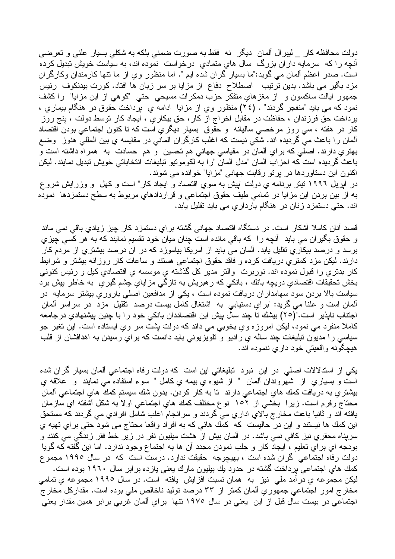دولت محافظه کار \_ ليبر ال ألمان ديگر نه فقط به صورت ضمني بلکه به شکلي بسيار علني و تعرضي آنچه را که سرمایه داران بزرگ سال های متمادی درخواست نموده اند، به سیاست خویش تبدیل کرده است. صدر اعظم ألمان مي گويد:"ما بسيار گران شده ايم ". اما منظور وي از ما نتها كارمندان وكارگران مزد بگیر می باشد. بدین ترتیب اصطلاح دفاع از مزایا بر سر زبان ها افتاد. کورت بیدنکوف رئیس جمهور ايالت ساكسون و از مغزهاي متفكر حزب دمكرات مسيحي حتى "كوهي از اين مزايا" را كشف نمود كه مي بايد "منفجر گردند" . (٢٤) منظور وي از مزايا ادامه ي پرداخت حقوق در هنگام بيماري ، برداخت حق فرزندان ، حفاظت در مقابل اخراج از كار ، حق بیكاری ، ایجاد كار نوسط دولت ، بنج روز کار در هفته ، سی روز مرخصبی سالیانه و حقوق بسیار دیگریِ است که تا کنون اجتماعی بودن اقتصاد آلمان را باعث می گردیده اند. شکی نیست که اغلب کارگران آلمانی در مقایسه یِ بین المللی هنوز ۖ وضع بهتري دارند. اصلي كه براي ألمان در مقياسي جهاني هم تحسين و هم حسادت به همراه داشته است و باعث گردیده است که احزاب آلمان "مدل آلمان "را به لکومونیو نبلیغات انتخاباتی خویش نبدیل نمایند. لیکن اکنون این دستاوردها در برتو رقابت جهانی "مزایا" خوانده می شوند.

در آبریل ۱۹۹۲ نیتر برنامه ی دولت "پیش به سوی اقتصاد و ایجاد کار" است و کهل و وزرایش شرو ع به از بين بردن اين مزايا در تمامي طيف حقوق اجتماعي و قراردادهاي مربوط به سطح دستمزدها نموده اند. حتی دستمزد زنان در هنگام بارداریِ می باید تقلیل پابد.

قصد آنان کاملا آشکار است. در دستگاه اقتصاد جهانی گشته برایِ دستمزد کار چیز زیادیِ باقی نمی ماند و حقوق بگیران می باید آنچه را که باقی مانده است چنان میان خود نقسیم نمایند که به هر کسی چیزی برسد و درصد بیکاریِ نقلیل یابد. آلمان می باید از آمریکا بیاموزد که در آن درصد بیشتریِ از مردم کار دارند. لیکن مزد کمتری دریافت کرده و فاقد حقوق اجتماعی هستند و ساعات کار روزانه بیشتر و شرایط كار بدتري را قبول نموده اند. نوربرت والتر مدير كل گذشته ي موسسه ي اقتصادي كيل و رئيس كنوني بخش نحقيقات اقتصادي دويچه بانك ، بانكي كه ر هبريش به نازگي مزاياي چشم گيري به خاطر پيش برد سیاست بالا بردن سود سهامداران دریافت نموده است ، یکی از مدافعین اصلی باروری بیشتر سرمایه در آلمان است و علنا می گوید: "برایِ دستیابی به اشتغال کامل بیست درصد نقلیل مزد در سراسر آلمان اجتناب ناپذیر است."(٢٥) بیشك نا چند سال پیش این اقتصاددان بانكي خود را با چنین پیشنهادي در جامعه کاملا منفرد می نمود، لیکن امروزه وي بخوبی می داند که دولت پشت سر وي ايستاده است. اين تغير جو سیاسی را مدیون تبلیغات چند ساله ی رادیو و تلویزیونی باید دانست که برایِ رسیدن به اهدافشان از قلب هيچگونه واقعيتي خود داري ننموده اند.

یکی از استدلالات اصلی در این نبرد تبلیغاتی این است که دولت رفاه اجتماعی المان بسیار گران شده است و بسياري از شهروندان ألمان " از شيوه ي بيمه ي كامل " سوء استفاده مي نمايند و علاقه ي بيشتري به دريافت كمك هاي اجتماعي دارند تا به كار كردن. بدون شك سيستم كمك هاي اجتماعي آلمان محتاج رفرم است. زیرا بخشی از ۱۰۲ نوع مختلف کمك های اجتماعی او لا به شكل آشفته ای سازمان يافته اند و ثانيا باعث مخارج بالاي اداري ميّ گردند و سرانجام اغلب شامل افرادي مي گردند كه مستحق این کمك ها نیستند و این در حالیست كه كمك هائی كه به افراد واقعا محتاج می شود حتی برای تهیه ی سریناه محقریِ نیز کافی نمی باشد. در آلمان بیش از هشت میلیون نفر در زیر خط فقر زندگی می کنند و بودجه اي برآي نعليم ، ايجاد كار و جلب نمودن مجدد أن ها به اجتماع وجود ندارد. اما اين گفته كه گويا دولت رفاه اجتماعی گران شده است ، بهیچوجه حقیقت ندارد. درست است که در سال ۱۹۹۰ مجموع كمك هاي اجتماعي برداخت گشته در حدود يك بيليون مارك يعني يازده برابر سال ١٩٦٠ بوده است. ليكن مجموعه ي در أمد ملي نيز به همان نسبت افزايش يافته است. در سال ١٩٩٥ مجموعه ي تمامي مخارج امور اجتماعي جمهوري ألمان كمنز از ٣٣ درصد نوليد ناخالص ملي بوده است. مقداركل مخارج اجتماعی در بیست سال قبل از این یعنی در سال ۱۹۷۰ نتها برای آلمان غربی بر ابر همین مقدار یعنی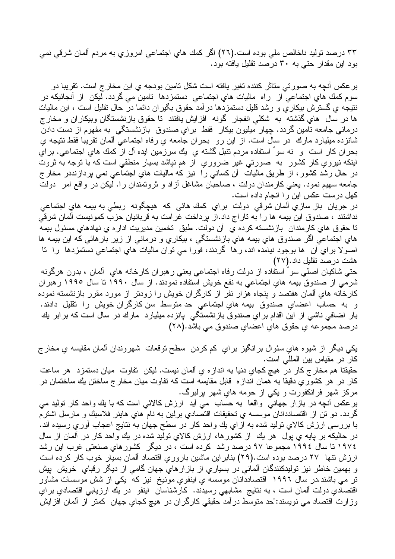۳۳ درصد نولید ناخالص ملی بوده است.(۲۲) اگر کمك های اجتماعی امروزی به مردم آلمان شرقی نمی بود این مقدار حتی به ۳۰ درصد نقلیل یافته بود.

بر عکس آنچه به صورتی متاثر کننده تغیر پافته است شکل تامین بودجه ی این مخار ج است. تقریبا دو سوم کمك هاي اجتماعي از راه ماليات هاي اجتماعي دستمزدها تامين مي گردد. ليكن از آنجائيكه در نتيجه ي گسترش بيكار ي و رشد قليل دستمزدها در آمد حقوق بگير ان دائما در حال نقليل است ، اين ماليات ها در سال های گذشته به شکلی انفجار گونه افزایش بافتند تا حقوق بازنشستگان وبیکاران و مخار ج درماني جامعه تامين گردد. چهار ميليون بيكار فقط براي صندوق بازنشستگي به مفهوم از دست دادن شانزده مبلبارد مارك در سال است. از اين رو بحران جامعه ي رفاه اجتماعي ألمان نقريبا فقط نتيجه ي بحران كار است و نه سو ُ استفاده مردم نتبل گشته ي يك سرزمين ايده آل از كمك هاي اجتماعي. براي اینکه نیروی کار کشور ً به صورتی غیر ضروری ً از هم نیاشد بسیار منطقی است که با توجه به ثروت در حال رشد کشور، از طریق مالیات آن کسانی را نیز که مالیات هایِ اجتماعی نمی پردازنددر مخار ج جامعه سهیم نمود. یعنی کارمندان دولت ، صاحبان مشاغل آزاد و نرونمندان را. لیکن در واقع امر ً دولت كهل درست عكس اين را انجام داده است.

در جریان باز سازی آلمان شرقی دولت برای کمك هائی که هیچگونه ربطی به بیمه های اجتماعی نداشتند ، صندوق این بیمه ها را به تاراج داد.از پرداخت غرامت به قربانیان حزب کمونیست آلمان شرقی تا حقوق هاي كارمندان بازنشسته كرده ي أن دولت. طبق تخمين مديريت ادار ه ي نهادهاي مسئول بيمه هاي اجتماعي اگر صندوق هاي بيمه هاي بازنشستگي ، بيکاري و درماني از زير بارهائي که اين بيمه ها اصولا براي أن ها بوجود نيامده اند، رها گردند، فورا مي نوان ماليات هاي اجتماعي دستمزدها را تا هشت درصد نقلیل داد.(۲۷)

حتی شاکیان اصلی سو ٔ استفاده از دولت رفاه اجتماعی یعنی رهبران کارخانه های آلمان ، بدون هرگونه شرمي از صندوق بیمه هاي اجتماعي به نفع خويش استفاده نمودند. از سال ۱۹۹۰ تا سال ۱۹۹۰ رهبران کارخانه های آلمان هفتصد و بنجاه هزار نفر از کارگران خویش را زودنر از مورد مقرر بازنشسته نموده و به حساب اعضاي صندوق بيمه هاي اجتماعي حد متوسط سن كارگران خويش را نقليل دادند. بار اضافی ناشی از این اقدام برایِ صندوق بازنشستگی پانزده میلیارد مارك در سال است كه برابر یك درصد مجموعه ي حقوق هاي اعضاي صندوق مي باشد.(٢٨)

يکي ديگر از شيوه هاي سئوال برانگيز براي کم کردن سطح نوقعات شهروندان ألمان مقايسه ي مخارج كار در مقياس بين المللي است. حقيقتا هم مخار ج كار در هيچ كجاي دنيا به انداز ه ي آلمان نيست. ليكن تفاوت ميان دستمزد هر ساعت کار در هر کشور ي دقيقا به همان انداز م قابل مقايسه است که تفاوت ميان مخار ج ساختن يك ساختمان در مرکز شهر فرانکفورت و یکی از حومه هاي شهر پړلبرگ.

برعکس أنچه در بازار جهانبي واقعا به حساب مي أيد ارزش کالائبي است که با يك واحد کار نوليد مي گردد. دو نن از اقتصاددانان موسسه ي نحقيقات اقتصادي برلين به نام هاي هاينر فلاسبك و مارسل اشترم با بررسی ارزش کالای نولید شده به از ای یك واحد كار در سطح جهان به نتایج اعجاب آوری رسیده اند. در حالیکه بر بایه ی بول ً هر یك ً از كشورها، ارزش كالای نولید شده در یك واحد كار در آلمان از سال ١٩٧٤ تا سال ١٩٩٤ مجموعا ٩٧ درصد رشد كرده است ، در ديگر كشور هاي صنعتي غرب اين رشد ارزش نتها ٢٧ درصد بوده است.(٢٩) بنابر این ماشین باروریِ اقتصاد آلمان بسیار خوب کار کرده است و بهمین خاطر نیز تولیدکنندگان آلمانی در بسیاری از بازارهایِ جهان گامی از دیگر رقبایِ خویش پیش تر می باشند.در سال ۱۹۹۲ اقتصاددانان موسسه یِ اینفویِ مونیخ ِ نیز که یکی از شش موسسات مشاور اقتصادي دولت ألمان است ، به نتايج مشابهي رسيدند. كارشناسان اينفو در يك ارزيابي اقتصادي براي وزارت اقتصاد می نویسند:"حد منوسط در آمد حقیقی کارگران در هیچ کجایِ جهان کمنز از آلمان افزایش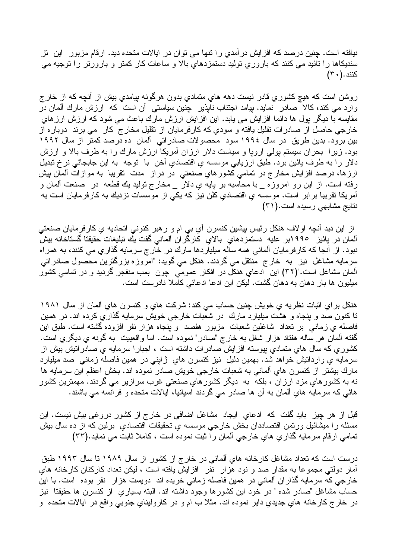نيافته است. چنين درصد كه افزايش درآمدي را تنها مي توان در ايالات متحده ديد. ارقام مزبور اين تز سنديكاها را نائيد مي كنند كه باروري نوليد دستمزدهاي بالا و ساعات كار كمتر و بارورتر را نوجيه مي کنند . ( ۳۰ )

روشن است که هيچ کشوري قادر نيست دهه هاي متمادي بدون هرگونه پيامدي بيش از أنچه که از خارج وارد می کند، کالاً صادر نماید. بیامد اجتناب ناپذیر چنین سیاستی آن است که ارزش مارك آلمان در مقایسه با دیگر بول ها دائما افزایش می بابد. این افزایش ارزش مارك باعث می شود كه ارزش ارزهای خارجي حاصل از صادرات نقليل بافته و سودي كه كارفرمايان از نقليل مخارج كار مي برند دوباره از بین برود. بدین طریق در سال ۱۹۹۶ سود محصولات صادراتی آلمان ده درصد کمتر از سال ۱۹۹۲ بود. زیرا بحران سیستم پولی اروپا و سیاست دلار ارزان آمریکا ارزش مارك را به طرف بالا و ارزش دلار را به طرف پائین برد. طبق ارزیابی موسسه یِ اقتصادیِ اخن ۖ با ۖ نوجه ۖ به این جابجائی نرخ تبدیل ارزها، درصد افزايش مخارج در تمامي كشورهاي صنعتي در دراز مدت تقريبا به موازات ألمان پيش رفته است. از این رو امروزه \_ با محاسبه بر پایه ی دلار \_ مخارج نولید یك قطعه در صنعت المان و آمریکا نقریبا برابر است. موسسه ی اقتصادی کلن نیز که یکی از موسسات نزدیك به کارفرمایان است به نتایج مشابهی رسیده است.(۳۱)

از این دید أنچه اولاف هنکل رئیس پیشین کنسرن أي بي ام و رهبر کنوني اتحادیه ي کارفرمایان صنعتي آلمان در بائیز ۱۹۹۰بر علیه دستمزدهای بالای کارگران آلمانی گفت بك تبلیغات حقیقتا گستاخانه بیش نبود. از آنجا که کارفرمایان آلمانی همه ساله میلیاردها مارك در خارج سرمایه گذاریِ می کنند، به همراه سرمایه مشاغل نیز به خارج منتقل می گردند. هنکل می گوید: "امروزه بزرگترین محصول صادراتی آلمان مشاغل است."(٣٢) این ادعایِ هنکل در افکار عمومی چون بمب منفجر گردید و در تمامی کشور میلیون ها بار دهان به دهان گشت. لیکن این ادعا ادعائی کاملاً نادرست است.

هنكل براي اثبات نظريه ي خويش چنين حساب مي كند: شركت هاي و كنسرن هاي ألمان از سال ۱۹۸۱ تا کنون صد و بنجاه و هشت میلیارد مارك ً در شعبات خارجی خویش سرمایه گذاری کرده اند. در همین فاصله یِ زمانی بر نعداد شاغلین شعبات مزبور هفصد و بنجاه هزار نفر افزوده گشته است. طبق این گفته ألمان هر ساله هفتاد هزار شغل به خارج "صادر" نموده است. اما واقعييت به گونه ي ديگري است. کشوریِ که سال هایِ متمادیِ بپوسته افزایش صادرات داشته است ، اجبارا سرمایه یِ صادراتیش بیش از سرمایه ی واردانتش خواهد شد. بهمین دلیل نیز کنسرن های ژاپنی در همین فاصله زمانی صد میلیارد مارك بيشتر از كنسرن هاي الماني به شعبات خارجي خويش صادر نموده اند. بخش اعظم اين سرمايه ها نه به کشورهای مزد ارزان ، بلکه به دیگر کشورهای صنعتی غرب سرازیر می گردند. مهمترین کشور هائی که سرمایه هایِ آلمان به آن ها صادر می گردند اسپانیا، ایالات متحده و فرانسه می باشند.

قبل از هر چیز باید گفت که ادعایِ ایجاد مشاغل اضافی در خارج از کشور دروغی بیش نیست. این مسئله را ميشائيل ورتمن اقتصاددان بخش خارجي موسسه ي تحقيقات اقتصادي برلين كه از ده سال بيش تمامي ارقام سرمايه گذاري هاي خارجي ألمان را ثبت نموده است ، كاملا ثابت مي نمايد.(٣٣)

درست است که تعداد مشاغل کارخانه هایِ ألمانی در خار ج از کشور از سال ۱۹۸۹ تا سال ۱۹۹۳ طبق آمار دولتی مجموعا به مقدار صد و نود هزار نفر افزایش یافته است ، لیکن تعداد کارکنان کارخانه های خارجی که سرمایه گذار ان ألمانی در همین فاصله زمانی خریده اند دویست هزار نفر بوده است. با این حساب مشاغل "صـادر شده " در خود این کشور ها وجود داشته اند. البته بسیاری ً از کنسرن ها حقیقتا ً نیز در خارج كارخانه هاي جديدي داير نموده اند. مثلا ب ام و در كاروليناي جنوبي واقع در ايالات متحده و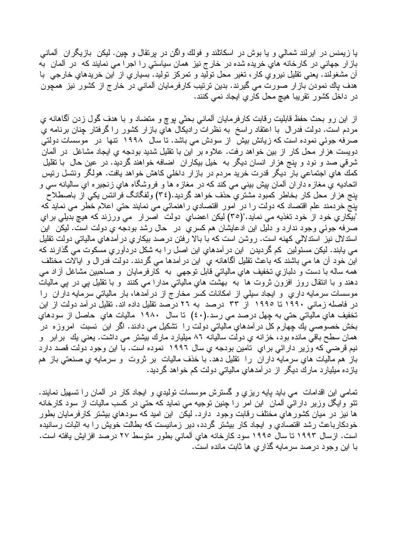با زیمنس در ایرلند شمالی و یا بوش در اسکاتلند و فولك واگن در برنقال و چین. لیکن بازیگران ألمانی باز ار جهانی در کارخانه هایِ خریده شده در خار ج نیز همان سیاستی را اجرا می نمایند که در آلمان به أن مشغولند. يعني نقليل نيروي كار، تغير محل نوليد و تمركز نوليد. بسياري از اين خريدهاي خارجي با هدف پاك نمودن باز ار صورت مي گيرند. بدين ترتيب كارفرمايان آلماني در خارج از كشور نيز همچون در داخل کشور نقریبا هیچ محل کاریِ ایجاد نمی کنند.

از این رو بحث حفظ قابلیت رقابت کارفرمایان آلمانی بحثی بوچ و متضاد و با هدف گول زدن آگاهانه ی مردم است. دولت فدرال با اعتقاد راسخ به نظرات رادیکال های بازار کشور را گرفتار چنان برنامه ی صرفه جوئی نموده است که زیانش بیش از سودش می باشد. تا سال ۱۹۹۸ تنها در موسسات دولتی دویست هزار محل کار از بین خواهد رفت. علاوه بر این با نقلیل شدید بودجه یِ ایجاد مشاغل ًدر ألمان شرقی صد و نود و بنج هزار انسان دیگر به خیل بیکاران اضافه خواهند گردید. در عین حال با نقلیل كمك هاي اجتماعي بار ديگر قدرت خريد مردم در بازار داخلي كاهش خواهد يافت. هولگر ونتسل رئيس اتحادیه ی مغاز ه دار ان آلمان بیش بینی می کند که در مغاز ه ها و فروشگاه های زنجیر ه ای سالیانه سی و بنج هزارٌ محل کار بخاطر کمبود مشترؓ یِ حذف خواهد گردید.(٣٤) ولفگانگ فرانتس یکی از باصطلاح .<br>بنج خردمند علم اقتصاد كه دولت را در امور اقتصادي راهنمائي مي نمايند حتي اعلام خطر مي نمايد كه "بيكاري خود از خود تغذيه مي نمايد."(٣٥) ليكن اعضاي دولت اصرار مي ورزند كه هيچ بديلي براي صرفه جوئي وجود ندارد و دليل اين ادعايشان هم كسرى ٍ در حال رشد بودجه ي دولت است. ليكن اين اسندلال نیز استدلالی کهنه است. روشن است که با بالا رفتن درصد بیکاری در آمدهای مالیاتی دولت تقلیل می پابند. لیکن مسئولین کم گردیدن این در آمدهای این اصل را به شکل دردآوریِ مسکوت می گذارند که این خود أن ها می باشند که باعث نقلیل أگاهانه ی این در آمدها می گردند. دولت فدر ال و ایالات مختلف همه ساله با دست و دلبازي تخفيف هاي مالياتي قابل توجهي به کارفرمايان و صـاحبين مشاغل أز اد مـي دهند و با انتقال روز افزون ثروت ها به بهشت هایِ مالیاتی مدارا می کنند و با تقلیل یی در یی مالیات موسسات سرمایه داری و ایجاد سیلی از امکانات کسر مخارج از در آمدها، بار مالیاتی سرمایه داران را در فاصله زمانی ۱۹۹۰ تا ۱۹۹۰ از ۳۳ درصد به ۲۲ درصد تقلیل داده اند. تقلیل درآمد دولت از این تخفيف هاي مالياتي حتى به چهل درصد مي رسد.(٤٠) تا سال ١٩٨٠ ماليات هاي حاصل از سودهاي بخش خصوصبي بك چهارم كل در آمدهاي مالياتي دولت را تشكيل مي دادند. اگر اين نسبت امروزه در همان سطح باقي مانده بود، خزانه ي دولت ساليانه ٨٦ ميليارد مارك بيشتر مي داشت. يعني يك برابر و نیم قرضی که وزیر دارائی برای تامین بودجه یِ سال ۱۹۹۲ نموده است. با این وجود دولت قصد دارد باز هم ماليات هاي سرمايه داران را نقليل دهد. با خذف ماليات بر ثروت و سرمايه ي صنعتي باز هم یازده میلیارد مارك دیگر از درآمدهایِ مالیاتی دولت كم خواهد گردید.

تمامی این اقدامات می باید پایه ریزی و گسترش موسسات نولیدی و ایجاد کار در آلمان را تسهیل نمایند. نئو وایگل وزیر دارائی آلمان این امر را چنین توجیه می نماید که حتی در کسب مالیات از سود کارخانه ها نیز در میان کشورهای مختلف رقابت وجود دارد. لیکن این امید که سودهای بیشتر کارفرمایان بطور خودکارباعث رشد اقتصادی و ایجاد کار بیشتر گردد، دیر زمانیست که بطالت خویش را به اثبات رسانیده است. ازسال ۱۹۹۳ تا سال ۱۹۹۰ سود کارخانه هایِ آلمانی بطور متوسط ۲۷ درصد افزایش یافته است. با این وجود درصد سرمایه گذاری ها ثابت مانده است.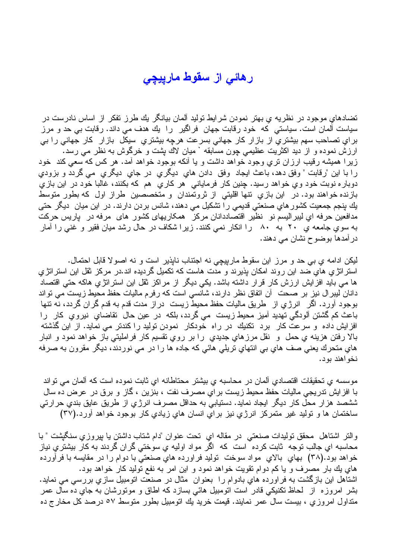## رهائی از سقوط مارییچی

تضادهای موجود در نظریه ی بهتر نمودن شرایط تولید آلمان بیانگر بك طرز تفكر از اساس نادرست در سياست آلمان است. سياستي که خود رقابت جهان فراگير را يك هدف مي داند. رقابت بي حد و مرز برایِ نصاحب سهم بیشتریِ از بازار کار جهانی بسرعت هرچه بیشتریِ سیکل بازار کار جهانی را بی ارزش نموده و از دید اکثریت عظیمی چون مسابقه ` میان لاك پشت و خرگوش به نظر می رسد. زیرا همیشه رقیب ارزان تری وجود خواهد داشت و یا أنکه بوجود خواهد أمد. هر کس که سعی کند خود را با این "رقابت " وفق دهد، باعث ایجاد وفق دادن های دیگری در جای دیگری می گردد و بزودی دوباره نوبت خود وي خواهد رسيد. چنين كار فرماياني هر كاري هم كه بكنند، غالبا خود در اين بازي بازنده خواهند بود. در این بازیِ نتها اقلیتی از ثرونمندان و متخصصین طراز اول که بطور متوسط یك بنجم جمعیت كشور هاي صنعتي قدیمي را تشكیل مي دهند، شانس بردن دارند. در این میان دیگر حتی مدافعین حرفه ای لیبر الیسم نو نظیر اقتصاددانان مرکز همکاریهای کشور های مرفه در یاریس حرکت به سویِ جامعه یِ ۲۰ به ۸۰ \_ را انکار نمی کنند. زیرا شکاف در حال رشد میان فقیر و غنی را آمار در آمدها بوضوح نشان مي دهند.

ليكن ادامه ي بي حد و مرز اين سقوط مارييچي نه اجتناب نايذير است و نه اصولا قابل احتمال. استرانژی های ضد این روند امکان بذیرند و مدت هاست که نکمیل گردیده اند.در مرکز ثقل این استرانژی ها می باید افزایش ارزش کار قرار داشته باشد. یکی دیگر از مراکز ثقل این استراتژی هاکه حتی اقتصاد دانان لیبر ال نیز بر صحت آن اتفاق نظر دارند، شانسی است که رفرم مالیات حفظ محیط زیست می تواند بوجود أورد. اگر انرژی از طریق مالیات حفظ محیط زیست در از مدت قدم به قدم گر ان گردد، نه تنها باعث كم گشتن ألودگي تهديد أميز محيط زيست مي گردد، بلكه در عين حال نقاضاي نيروي كار را افزایش داده و سرعت کار برد تکنیك در راه خودکار نمودن تولید را کندتر می نماید. از این گذشته بالا رفتن هزینه ی حمل و نقل مرز های جدیدی را بر روی نقسیم کار فراملیتی باز خواهد نمود و انبار هاي متحرك يعني صف هاي بي انتهاي تريلي هائي كه جاده ها را در مي نوردند، ديگر مقرون به صرفه نخواهند بود.

موسسه ی تحقیقات اقتصـادی آلمان در محاسبه ی بیشتر محتاطانه ای ثابت نمو ده است که آلمان مے تو اند با افزایش تدریجی مالیات حفظ محیط زیست بر ای مصرف نفت ، بنزین ، گاز و برق در عرض ده سال ششصد هزار محل کار دیگر ایجاد نماید. دستیابی به حداقل مصرف انرژی از طریق عایق بندی حرارتی ساختمان ها و توليد غير متمركز انرژي نيز براي انسان هاي زيادي كار بوجود خواهد أورد.(٣٧)

والنر اشتاهل محقق توليدات صنعتي در مقاله اي تحت عنوان "دام شتاب داشتن يا بيروزي سنگيشت " با محاسبه ای جالب توجه ثابت کرده است که اگر مو اد اولیه ی سوختی گر ان گردند به کار بیشتر ی نیاز خواهد بود.(۳۸) بهاي بالاي مواد سوخت نوليد فراورده هاي صنعتي با دوام را در مقايسه با فرأورده های بك بار مصرف و یا كم دوام نقویت خواهد نمود و این امر به نفع نولید كار خواهد بود. اشتاهل این بازگشت به فراورده هایِ بادوام را بعنوان ً مثال در صنعت انومبیل سازیِ بررسی می نماید. بشر امروزه از لحاظ نکنیکی قادر است انومبیل هائی بسازد که اطاق و مونورشان به جای ده سال عمر منداول امروزي ، بيست سال عمر نمايند. قيمت خريد يك انومبيل بطور متوسط ٥٧ درصد كل مخارج ده